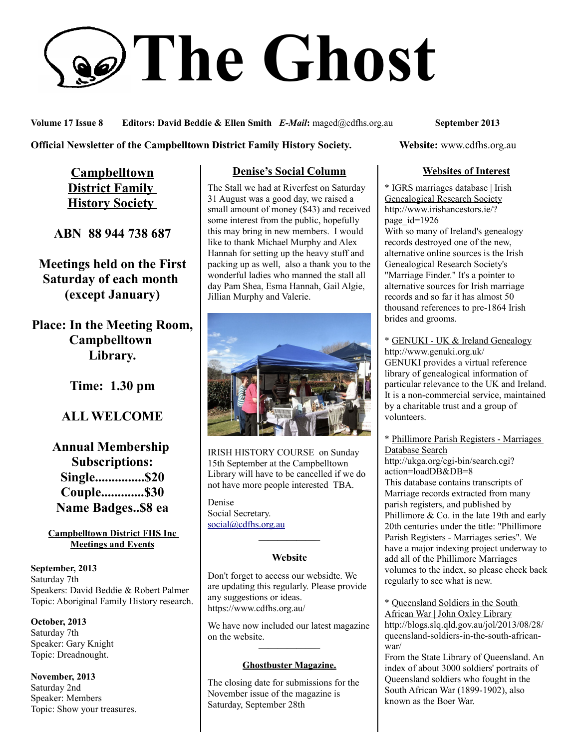# **The Ghost**

**Volume 17 Issue 8 Editors: David Beddie & Ellen Smith** *E-Mail***:** maged@cdfhs.org.au **September 2013**

#### **Official Newsletter of the Campbelltown District Family History Society. Website: www.cdfhs.org.au**

**Campbelltown District Family History Society** 

**ABN 88 944 738 687**

**Meetings held on the First Saturday of each month (except January)**

**Place: In the Meeting Room, Campbelltown Library.**

**Time: 1.30 pm**

# **ALL WELCOME**

**Annual Membership Subscriptions: Single...............\$20 Couple.............\$30 Name Badges..\$8 ea**

**Campbelltown District FHS Inc Meetings and Events**

**September, 2013** Saturday 7th Speakers: David Beddie & Robert Palmer Topic: Aboriginal Family History research.

**October, 2013** Saturday 7th Speaker: Gary Knight Topic: Dreadnought.

**November, 2013** Saturday 2nd Speaker: Members Topic: Show your treasures.

## **Denise's Social Column**

The Stall we had at Riverfest on Saturday 31 August was a good day, we raised a small amount of money (\$43) and received some interest from the public, hopefully this may bring in new members. I would like to thank Michael Murphy and Alex Hannah for setting up the heavy stuff and packing up as well, also a thank you to the wonderful ladies who manned the stall all day Pam Shea, Esma Hannah, Gail Algie, Jillian Murphy and Valerie.



IRISH HISTORY COURSE on Sunday 15th September at the Campbelltown Library will have to be cancelled if we do not have more people interested TBA.

Denise Social Secretary. [social@cdfhs.org.au](mailto:social@cdfhs.org.au)

# ——————– **Website**

Don't forget to access our websidte. We are updating this regularly. Please provide any suggestions or ideas. https://www.cdfhs.org.au/

We have now included our latest magazine on the website. ——————–

#### **Ghostbuster Magazine.**

The closing date for submissions for the November issue of the magazine is Saturday, September 28th

## **Websites of Interest**

\* IGRS marriages database | Irish Genealogical Research Society http://www.irishancestors.ie/? page\_id=1926 With so many of Ireland's genealogy records destroyed one of the new, alternative online sources is the Irish Genealogical Research Society's "Marriage Finder." It's a pointer to alternative sources for Irish marriage records and so far it has almost 50 thousand references to pre-1864 Irish brides and grooms.

\* GENUKI - UK & Ireland Genealogy http://www.genuki.org.uk/ GENUKI provides a virtual reference library of genealogical information of particular relevance to the UK and Ireland. It is a non-commercial service, maintained by a charitable trust and a group of volunteers.

\* Phillimore Parish Registers - Marriages Database Search

http://ukga.org/cgi-bin/search.cgi? action=loadDB&DB=8 This database contains transcripts of Marriage records extracted from many parish registers, and published by Phillimore & Co. in the late 19th and early 20th centuries under the title: "Phillimore Parish Registers - Marriages series". We have a major indexing project underway to add all of the Phillimore Marriages volumes to the index, so please check back regularly to see what is new.

\* Queensland Soldiers in the South African War | John Oxley Library http://blogs.slq.qld.gov.au/jol/2013/08/28/ queensland-soldiers-in-the-south-africanwar/

From the State Library of Queensland. An index of about 3000 soldiers' portraits of Queensland soldiers who fought in the South African War (1899-1902), also known as the Boer War.